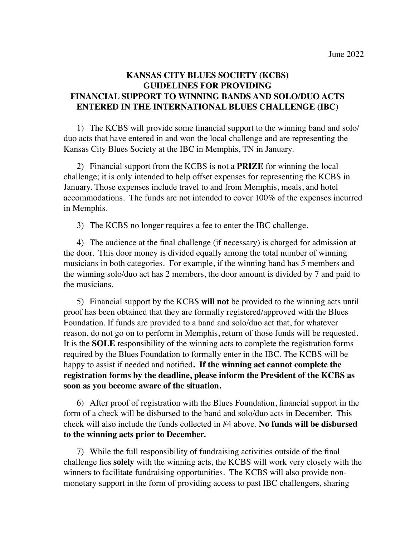## **KANSAS CITY BLUES SOCIETY (KCBS) GUIDELINES FOR PROVIDING FINANCIAL SUPPORT TO WINNING BANDS AND SOLO/DUO ACTS ENTERED IN THE INTERNATIONAL BLUES CHALLENGE (IBC)**

1) The KCBS will provide some financial support to the winning band and solo/ duo acts that have entered in and won the local challenge and are representing the Kansas City Blues Society at the IBC in Memphis, TN in January.

2) Financial support from the KCBS is not a **PRIZE** for winning the local challenge; it is only intended to help offset expenses for representing the KCBS in January. Those expenses include travel to and from Memphis, meals, and hotel accommodations. The funds are not intended to cover 100% of the expenses incurred in Memphis.

3) The KCBS no longer requires a fee to enter the IBC challenge.

4) The audience at the final challenge (if necessary) is charged for admission at the door. This door money is divided equally among the total number of winning musicians in both categories. For example, if the winning band has 5 members and the winning solo/duo act has 2 members, the door amount is divided by 7 and paid to the musicians.

5) Financial support by the KCBS **will not** be provided to the winning acts until proof has been obtained that they are formally registered/approved with the Blues Foundation. If funds are provided to a band and solo/duo act that, for whatever reason, do not go on to perform in Memphis, return of those funds will be requested. It is the **SOLE** responsibility of the winning acts to complete the registration forms required by the Blues Foundation to formally enter in the IBC. The KCBS will be happy to assist if needed and notified**. If the winning act cannot complete the registration forms by the deadline, please inform the President of the KCBS as soon as you become aware of the situation.** 

6) After proof of registration with the Blues Foundation, financial support in the form of a check will be disbursed to the band and solo/duo acts in December. This check will also include the funds collected in #4 above. **No funds will be disbursed to the winning acts prior to December.**

7) While the full responsibility of fundraising activities outside of the final challenge lies **solely** with the winning acts, the KCBS will work very closely with the winners to facilitate fundraising opportunities. The KCBS will also provide nonmonetary support in the form of providing access to past IBC challengers, sharing